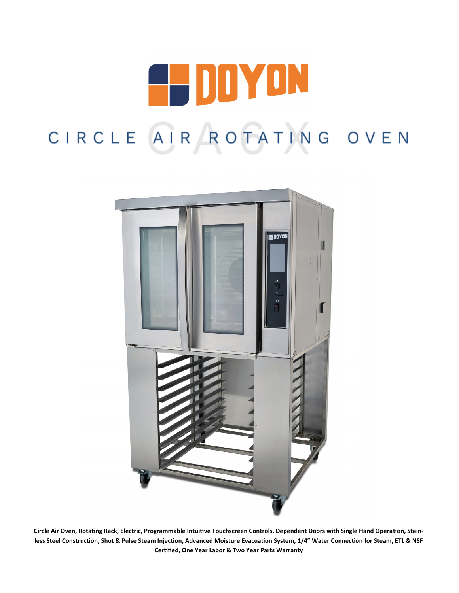



**Circle Air Oven, Rotating Rack, Electric, Programmable Intuitive Touchscreen Controls, Dependent Doors with Single Hand Operation, Stainless Steel Construction, Shot & Pulse Steam Injection, Advanced Moisture Evacuation System, 1/4" Water Connection for Steam, ETL & NSF Certified, One Year Labor & Two Year Parts Warranty**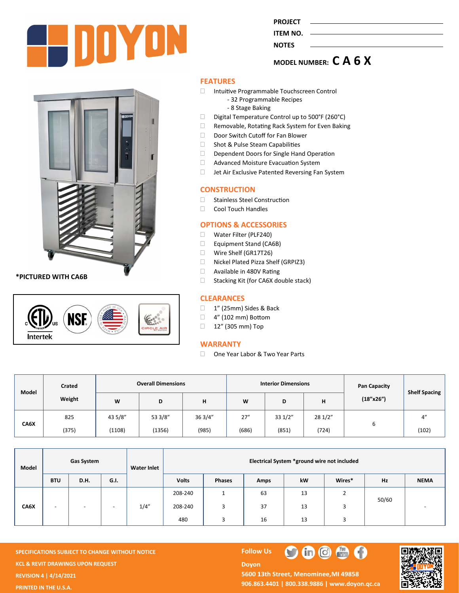

**PROJECT ITEM NO.** 

## **NOTES**

# **MODEL NUMBER: C A 6 X**

**\*PICTURED WITH CA6B**



#### **FEATURES**

- Intuitive Programmable Touchscreen Control - 32 Programmable Recipes
	- 8 Stage Baking
- $\Box$  Digital Temperature Control up to 500°F (260°C)
- □ Removable, Rotating Rack System for Even Baking
- Door Switch Cutoff for Fan Blower
- □ Shot & Pulse Steam Capabilities
- Dependent Doors for Single Hand Operation
- **Advanced Moisture Evacuation System**
- $\Box$  Jet Air Exclusive Patented Reversing Fan System

#### **CONSTRUCTION**

- □ Stainless Steel Construction
- Cool Touch Handles

#### **OPTIONS & ACCESSORIES**

- Water Filter (PLF240)
- Equipment Stand (CA6B)
- Wire Shelf (GR17T26)
- □ Nickel Plated Pizza Shelf (GRPIZ3)
- **Available in 480V Rating**
- $\Box$  Stacking Kit (for CA6X double stack)

#### **CLEARANCES**

- 1" (25mm) Sides & Back
- □ 4" (102 mm) Bottom
- $12''$  (305 mm) Top

#### **WARRANTY**

□ One Year Labor & Two Year Parts

| Model | Crated | <b>Overall Dimensions</b> |         |         | <b>Interior Dimensions</b> |        |         | <b>Pan Capacity</b> | Shelf Spacing |
|-------|--------|---------------------------|---------|---------|----------------------------|--------|---------|---------------------|---------------|
|       | Weight | W                         | D       | н       | W                          | D      | н       | (18"x26")           |               |
| CA6X  | 825    | 43 5/8"                   | 53 3/8" | 36 3/4" | 27''                       | 331/2" | 28 1/2" |                     | 4"            |
|       | (375)  | (1108)                    | (1356)  | (985)   | (686)                      | (851)  | (724)   | ь                   | (102)         |

| Model | Gas System               |      |                          | <b>Water Inlet</b> | Electrical System *ground wire not included |               |      |    |                |       |             |  |
|-------|--------------------------|------|--------------------------|--------------------|---------------------------------------------|---------------|------|----|----------------|-------|-------------|--|
|       | <b>BTU</b>               | D.H. | G.I.                     |                    | <b>Volts</b>                                | <b>Phases</b> | Amps | kW | Wires*         | Hz    | <b>NEMA</b> |  |
| CA6X  | $\overline{\phantom{a}}$ | ۰    | $\overline{\phantom{0}}$ | 1/4''              | 208-240                                     |               | 63   | 13 | $\overline{2}$ | 50/60 |             |  |
|       |                          |      |                          |                    | 208-240                                     | 3             | 37   | 13 | 3              |       |             |  |
|       |                          |      |                          |                    | 480                                         |               | 16   | 13 |                |       |             |  |

**SPECIFICATIONS SUBJECT TO CHANGE WITHOUT NOTICE FOLLOW US KCL & REVIT DRAWINGS UPON REQUEST REVISION 4 | 4/14/2021 PRINTED IN THE U.S.A.**

# **Doyon**



5600 13th Street, Menominee, MI 49858 **906.863.4401 | 800.338.9886 | [www.doyon.qc.ca](http://www.doyon.qc.ca/)**

 $\mathbf C$ 

 $\bullet$   $\bullet$